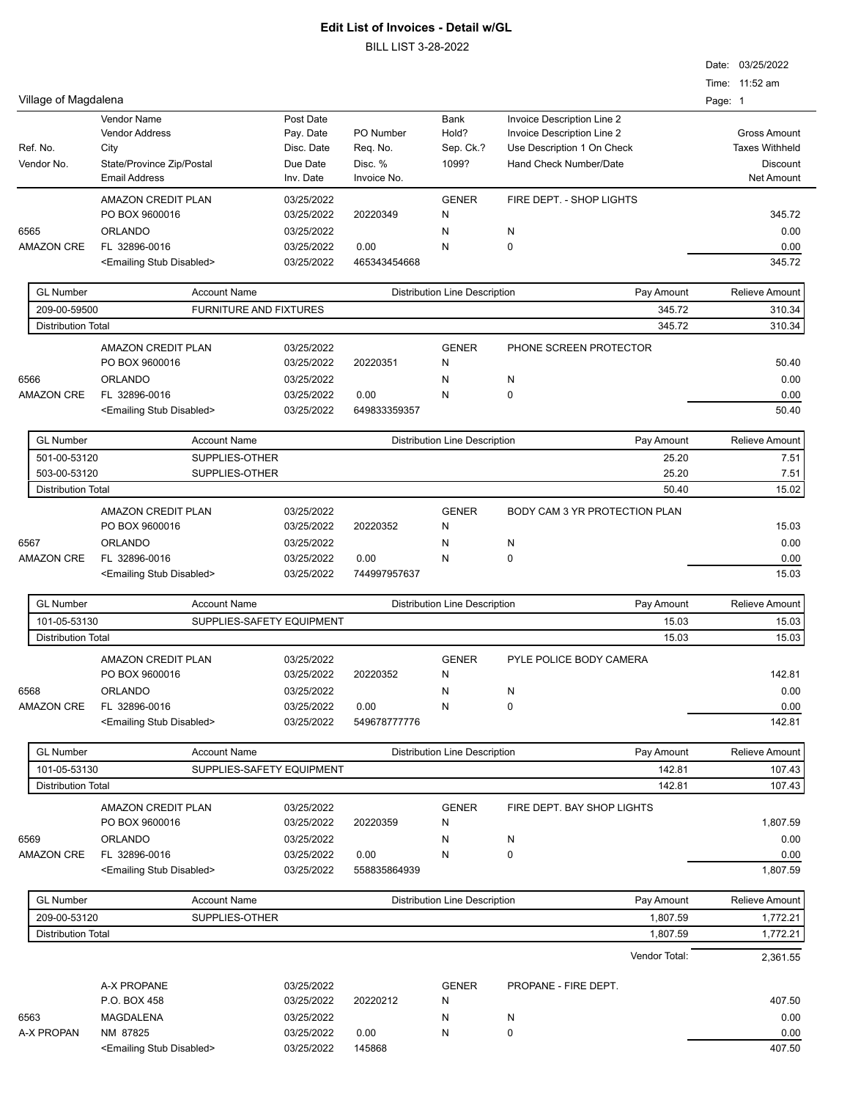BILL LIST 3-28-2022

|                                           |                                           |                               |                          |              |                                      |                               |         | Date: 03/25/2022      |
|-------------------------------------------|-------------------------------------------|-------------------------------|--------------------------|--------------|--------------------------------------|-------------------------------|---------|-----------------------|
|                                           |                                           |                               |                          |              |                                      |                               |         | Time: 11:52 am        |
| Village of Magdalena                      |                                           |                               |                          |              |                                      |                               | Page: 1 |                       |
|                                           | <b>Vendor Name</b>                        |                               | Post Date                |              | Bank                                 | Invoice Description Line 2    |         |                       |
|                                           | <b>Vendor Address</b>                     |                               | Pay. Date                | PO Number    | Hold?                                | Invoice Description Line 2    |         | <b>Gross Amount</b>   |
| Ref. No.                                  | City                                      |                               | Disc. Date               | Req. No.     | Sep. Ck.?                            | Use Description 1 On Check    |         | <b>Taxes Withheld</b> |
| Vendor No.                                | State/Province Zip/Postal                 |                               | Due Date                 | Disc. %      | 1099?                                | Hand Check Number/Date        |         | <b>Discount</b>       |
|                                           | <b>Email Address</b>                      |                               | Inv. Date                | Invoice No.  |                                      |                               |         | Net Amount            |
|                                           | <b>AMAZON CREDIT PLAN</b>                 |                               | 03/25/2022               |              | <b>GENER</b>                         | FIRE DEPT. - SHOP LIGHTS      |         |                       |
|                                           | PO BOX 9600016                            |                               | 03/25/2022               | 20220349     | N                                    |                               |         | 345.72                |
| 6565                                      | <b>ORLANDO</b>                            |                               | 03/25/2022               |              | N                                    | N                             |         | 0.00                  |
| <b>AMAZON CRE</b>                         | FL 32896-0016                             |                               | 03/25/2022               | 0.00         | N                                    | 0                             |         | 0.00                  |
|                                           | <emailing disabled="" stub=""></emailing> |                               | 03/25/2022               | 465343454668 |                                      |                               |         | 345.72                |
|                                           |                                           |                               |                          |              |                                      |                               |         |                       |
| <b>GL Number</b>                          |                                           | <b>Account Name</b>           |                          |              | <b>Distribution Line Description</b> | Pay Amount                    |         | Relieve Amount        |
| 209-00-59500                              |                                           | <b>FURNITURE AND FIXTURES</b> |                          |              |                                      | 345.72                        |         | 310.34                |
| <b>Distribution Total</b>                 |                                           |                               |                          |              |                                      | 345.72                        |         | 310.34                |
|                                           | <b>AMAZON CREDIT PLAN</b>                 |                               | 03/25/2022               |              | <b>GENER</b>                         | PHONE SCREEN PROTECTOR        |         |                       |
|                                           | PO BOX 9600016                            |                               | 03/25/2022               | 20220351     | N                                    |                               |         | 50.40                 |
| 6566                                      | ORLANDO                                   |                               | 03/25/2022               |              | N                                    | N                             |         | 0.00                  |
| <b>AMAZON CRE</b>                         | FL 32896-0016                             |                               | 03/25/2022               | 0.00         | N                                    | 0                             |         | 0.00                  |
|                                           | <emailing disabled="" stub=""></emailing> |                               | 03/25/2022               | 649833359357 |                                      |                               |         | 50.40                 |
| <b>GL Number</b>                          |                                           |                               |                          |              |                                      |                               |         |                       |
|                                           |                                           | <b>Account Name</b>           |                          |              | <b>Distribution Line Description</b> | Pay Amount                    |         | Relieve Amount        |
| 501-00-53120                              |                                           | SUPPLIES-OTHER                |                          |              |                                      | 25.20                         |         | 7.51                  |
| 503-00-53120<br><b>Distribution Total</b> |                                           | SUPPLIES-OTHER                |                          |              |                                      | 25.20<br>50.40                |         | 7.51<br>15.02         |
|                                           |                                           |                               |                          |              |                                      |                               |         |                       |
|                                           | <b>AMAZON CREDIT PLAN</b>                 |                               | 03/25/2022               |              | <b>GENER</b>                         | BODY CAM 3 YR PROTECTION PLAN |         |                       |
|                                           | PO BOX 9600016                            |                               | 03/25/2022               | 20220352     | N                                    |                               |         | 15.03                 |
| 6567                                      | <b>ORLANDO</b>                            |                               | 03/25/2022               |              | N                                    | N                             |         | 0.00                  |
| <b>AMAZON CRE</b>                         | FL 32896-0016                             |                               | 03/25/2022               | 0.00         | N                                    | 0                             |         | 0.00                  |
|                                           | <emailing disabled="" stub=""></emailing> |                               | 03/25/2022               | 744997957637 |                                      |                               |         | 15.03                 |
| <b>GL Number</b>                          |                                           | <b>Account Name</b>           |                          |              | <b>Distribution Line Description</b> | Pay Amount                    |         | Relieve Amount        |
| 101-05-53130                              |                                           | SUPPLIES-SAFETY EQUIPMENT     |                          |              |                                      | 15.03                         |         | 15.03                 |
| <b>Distribution Total</b>                 |                                           |                               |                          |              |                                      | 15.03                         |         | 15.03                 |
|                                           | <b>AMAZON CREDIT PLAN</b>                 |                               |                          |              |                                      |                               |         |                       |
|                                           | PO BOX 9600016                            |                               | 03/25/2022<br>03/25/2022 | 20220352     | <b>GENER</b><br>N                    | PYLE POLICE BODY CAMERA       |         | 142.81                |
| 6568                                      | <b>ORLANDO</b>                            |                               |                          |              |                                      |                               |         |                       |
| <b>AMAZON CRE</b>                         | FL 32896-0016                             |                               | 03/25/2022<br>03/25/2022 | 0.00         | N<br>N                               | N<br>0                        |         | 0.00<br>0.00          |
|                                           | <emailing disabled="" stub=""></emailing> |                               | 03/25/2022               | 549678777776 |                                      |                               |         | 142.81                |
|                                           |                                           |                               |                          |              |                                      |                               |         |                       |
| <b>GL Number</b>                          |                                           | <b>Account Name</b>           |                          |              | <b>Distribution Line Description</b> | Pay Amount                    |         | Relieve Amount        |
| 101-05-53130                              |                                           | SUPPLIES-SAFETY EQUIPMENT     |                          |              |                                      | 142.81                        |         | 107.43                |
| <b>Distribution Total</b>                 |                                           |                               |                          |              |                                      | 142.81                        |         | 107.43                |
|                                           | AMAZON CREDIT PLAN                        |                               | 03/25/2022               |              | <b>GENER</b>                         | FIRE DEPT. BAY SHOP LIGHTS    |         |                       |
|                                           | PO BOX 9600016                            |                               | 03/25/2022               | 20220359     | N                                    |                               |         | 1,807.59              |
| 6569                                      | <b>ORLANDO</b>                            |                               | 03/25/2022               |              | N                                    | N                             |         | 0.00                  |
| <b>AMAZON CRE</b>                         | FL 32896-0016                             |                               | 03/25/2022               | 0.00         | N                                    | 0                             |         | 0.00                  |
|                                           | <emailing disabled="" stub=""></emailing> |                               | 03/25/2022               | 558835864939 |                                      |                               |         | 1,807.59              |
|                                           |                                           |                               |                          |              |                                      |                               |         |                       |
| <b>GL Number</b>                          |                                           | <b>Account Name</b>           |                          |              | <b>Distribution Line Description</b> | Pay Amount                    |         | Relieve Amount        |
| 209-00-53120                              |                                           | SUPPLIES-OTHER                |                          |              |                                      | 1,807.59                      |         | 1,772.21              |
| <b>Distribution Total</b>                 |                                           |                               |                          |              |                                      | 1,807.59                      |         | 1,772.21              |
|                                           |                                           |                               |                          |              |                                      | Vendor Total:                 |         | 2,361.55              |
|                                           |                                           |                               |                          |              |                                      |                               |         |                       |
|                                           | A-X PROPANE                               |                               | 03/25/2022               |              | <b>GENER</b>                         | PROPANE - FIRE DEPT.          |         |                       |
|                                           | P.O. BOX 458                              |                               | 03/25/2022               | 20220212     | N                                    |                               |         | 407.50                |
| 6563                                      | MAGDALENA                                 |                               | 03/25/2022               |              | N                                    | N                             |         | 0.00                  |
| A-X PROPAN                                | NM 87825                                  |                               | 03/25/2022               | 0.00         | N                                    | 0                             |         | 0.00                  |
|                                           | <emailing disabled="" stub=""></emailing> |                               | 03/25/2022               | 145868       |                                      |                               |         | 407.50                |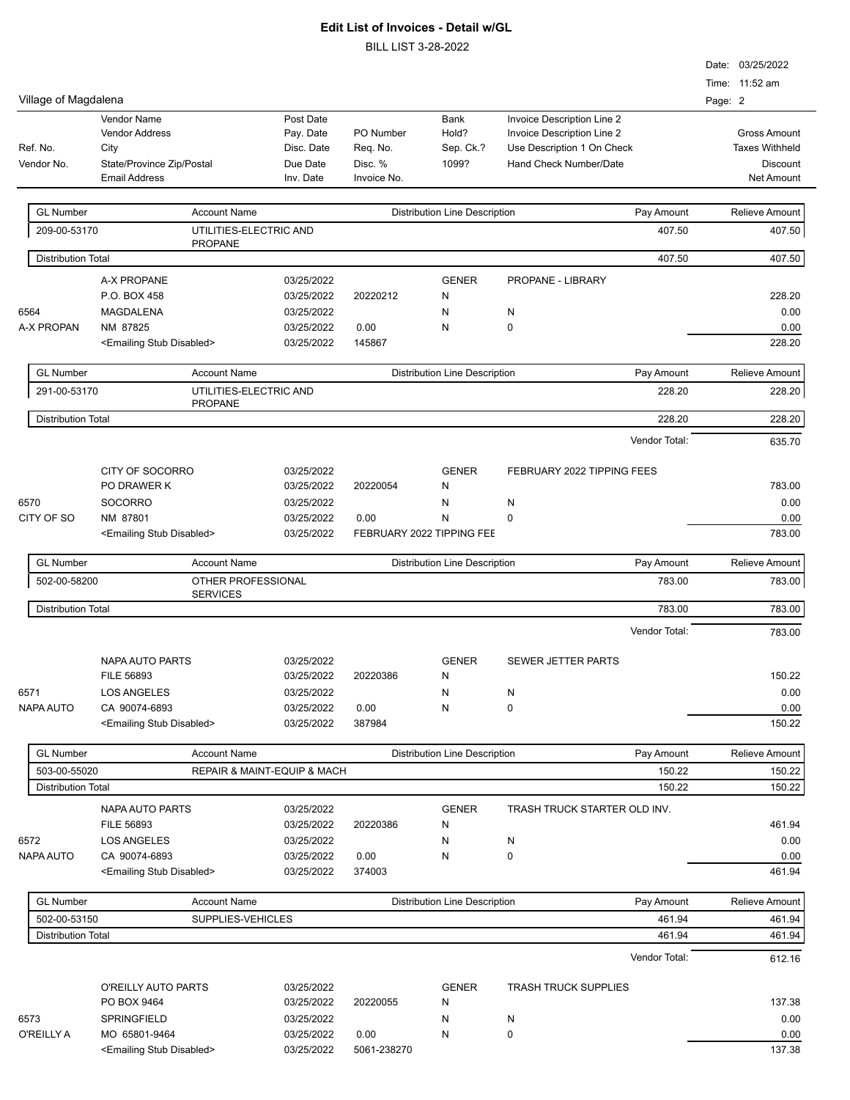BILL LIST 3-28-2022

|                           |                                           |                             |             |                                      |                              | Date: 03/25/2022      |  |
|---------------------------|-------------------------------------------|-----------------------------|-------------|--------------------------------------|------------------------------|-----------------------|--|
|                           |                                           |                             |             |                                      |                              | Time: 11:52 am        |  |
| Village of Magdalena      |                                           |                             |             |                                      |                              | Page: 2               |  |
|                           | <b>Vendor Name</b>                        | Post Date                   |             | Bank                                 | Invoice Description Line 2   |                       |  |
|                           | <b>Vendor Address</b>                     | Pay. Date                   | PO Number   | Hold?                                | Invoice Description Line 2   | <b>Gross Amount</b>   |  |
| Ref. No.                  | City                                      | Disc. Date                  | Req. No.    | Sep. Ck.?                            | Use Description 1 On Check   | <b>Taxes Withheld</b> |  |
| Vendor No.                | State/Province Zip/Postal                 | Due Date                    | Disc. %     | 1099?                                | Hand Check Number/Date       | <b>Discount</b>       |  |
|                           | <b>Email Address</b>                      | Inv. Date                   | Invoice No. |                                      |                              | <b>Net Amount</b>     |  |
|                           |                                           |                             |             |                                      |                              |                       |  |
| <b>GL Number</b>          | <b>Account Name</b>                       |                             |             | <b>Distribution Line Description</b> | Pay Amount                   | <b>Relieve Amount</b> |  |
| 209-00-53170              |                                           | UTILITIES-ELECTRIC AND      |             |                                      | 407.50                       | 407.50                |  |
|                           | <b>PROPANE</b>                            |                             |             |                                      |                              |                       |  |
| <b>Distribution Total</b> |                                           |                             |             |                                      | 407.50                       | 407.50                |  |
|                           |                                           |                             |             |                                      |                              |                       |  |
|                           | A-X PROPANE                               | 03/25/2022                  |             | <b>GENER</b>                         | PROPANE - LIBRARY            |                       |  |
|                           | P.O. BOX 458                              | 03/25/2022                  | 20220212    | N                                    |                              | 228.20                |  |
| 6564                      | <b>MAGDALENA</b>                          | 03/25/2022                  |             | N                                    | N                            | 0.00                  |  |
| A-X PROPAN                | NM 87825                                  | 03/25/2022                  | 0.00        | N                                    | $\mathbf 0$                  | 0.00                  |  |
|                           | <emailing disabled="" stub=""></emailing> | 03/25/2022                  | 145867      |                                      |                              | 228.20                |  |
|                           |                                           |                             |             |                                      |                              |                       |  |
| <b>GL Number</b>          | <b>Account Name</b>                       |                             |             | <b>Distribution Line Description</b> | Pay Amount                   | <b>Relieve Amount</b> |  |
| 291-00-53170              | <b>PROPANE</b>                            | UTILITIES-ELECTRIC AND      |             |                                      | 228.20                       | 228.20                |  |
| <b>Distribution Total</b> |                                           |                             |             |                                      | 228.20                       |                       |  |
|                           |                                           |                             |             |                                      |                              | 228.20                |  |
|                           |                                           |                             |             |                                      | Vendor Total:                | 635.70                |  |
|                           |                                           |                             |             |                                      |                              |                       |  |
|                           | CITY OF SOCORRO                           | 03/25/2022                  |             | <b>GENER</b>                         | FEBRUARY 2022 TIPPING FEES   |                       |  |
|                           | PO DRAWER K                               | 03/25/2022                  | 20220054    | N                                    |                              | 783.00                |  |
| 6570                      | <b>SOCORRO</b>                            | 03/25/2022                  |             | N                                    | N                            | 0.00                  |  |
| CITY OF SO                | NM 87801                                  | 03/25/2022                  | 0.00        | N                                    | $\mathbf 0$                  | 0.00                  |  |
|                           | <emailing disabled="" stub=""></emailing> | 03/25/2022                  |             | FEBRUARY 2022 TIPPING FEE            |                              | 783.00                |  |
|                           |                                           |                             |             |                                      |                              |                       |  |
| <b>GL Number</b>          | <b>Account Name</b>                       |                             |             | <b>Distribution Line Description</b> | Pay Amount                   | Relieve Amount        |  |
| 502-00-58200              |                                           | OTHER PROFESSIONAL          |             |                                      | 783.00                       | 783.00                |  |
|                           | <b>SERVICES</b>                           |                             |             |                                      |                              |                       |  |
| <b>Distribution Total</b> |                                           |                             |             |                                      | 783.00                       | 783.00                |  |
|                           |                                           |                             |             |                                      | Vendor Total:                | 783.00                |  |
|                           |                                           |                             |             |                                      |                              |                       |  |
|                           | <b>NAPA AUTO PARTS</b>                    | 03/25/2022                  |             | <b>GENER</b>                         | <b>SEWER JETTER PARTS</b>    |                       |  |
|                           | <b>FILE 56893</b>                         | 03/25/2022                  | 20220386    | N                                    |                              | 150.22                |  |
| 6571                      | <b>LOS ANGELES</b>                        | 03/25/2022                  |             | N                                    | N                            | 0.00                  |  |
| NAPA AUTO                 | CA 90074-6893                             | 03/25/2022                  | 0.00        | N                                    | $\pmb{0}$                    | 0.00                  |  |
|                           | <emailing disabled="" stub=""></emailing> | 03/25/2022                  | 387984      |                                      |                              | 150.22                |  |
|                           |                                           |                             |             |                                      |                              |                       |  |
| <b>GL Number</b>          | <b>Account Name</b>                       |                             |             | <b>Distribution Line Description</b> | Pay Amount                   | <b>Relieve Amount</b> |  |
| 503-00-55020              |                                           | REPAIR & MAINT-EQUIP & MACH |             |                                      | 150.22                       | 150.22                |  |
| <b>Distribution Total</b> |                                           |                             |             |                                      | 150.22                       | 150.22                |  |
|                           |                                           |                             |             |                                      |                              |                       |  |
|                           | <b>NAPA AUTO PARTS</b>                    | 03/25/2022                  |             | <b>GENER</b>                         | TRASH TRUCK STARTER OLD INV. |                       |  |
|                           | FILE 56893                                | 03/25/2022                  | 20220386    | Ν                                    |                              | 461.94                |  |
| 6572                      | <b>LOS ANGELES</b>                        | 03/25/2022                  |             | N                                    | N                            | 0.00                  |  |
| <b>NAPA AUTO</b>          | CA 90074-6893                             | 03/25/2022                  | 0.00        | N                                    | $\pmb{0}$                    | 0.00                  |  |
|                           | <emailing disabled="" stub=""></emailing> | 03/25/2022                  | 374003      |                                      |                              | 461.94                |  |
|                           |                                           |                             |             |                                      |                              |                       |  |
| <b>GL Number</b>          | <b>Account Name</b>                       |                             |             | <b>Distribution Line Description</b> | Pay Amount                   | <b>Relieve Amount</b> |  |
| 502-00-53150              | SUPPLIES-VEHICLES                         |                             | 461.94      |                                      |                              | 461.94                |  |
| <b>Distribution Total</b> |                                           |                             |             |                                      | 461.94                       | 461.94                |  |
|                           |                                           |                             |             |                                      |                              |                       |  |
|                           |                                           |                             |             |                                      | Vendor Total:                | 612.16                |  |
|                           |                                           |                             |             |                                      |                              |                       |  |
|                           | O'REILLY AUTO PARTS                       | 03/25/2022                  |             | <b>GENER</b>                         | <b>TRASH TRUCK SUPPLIES</b>  |                       |  |
|                           | PO BOX 9464                               | 03/25/2022                  | 20220055    | N                                    |                              | 137.38                |  |
| 6573                      | SPRINGFIELD                               | 03/25/2022                  |             | N                                    | N                            | 0.00                  |  |
| O'REILLY A                | MO 65801-9464                             | 03/25/2022                  | 0.00        | N                                    | 0                            | 0.00                  |  |
|                           | <emailing disabled="" stub=""></emailing> | 03/25/2022                  | 5061-238270 |                                      |                              | 137.38                |  |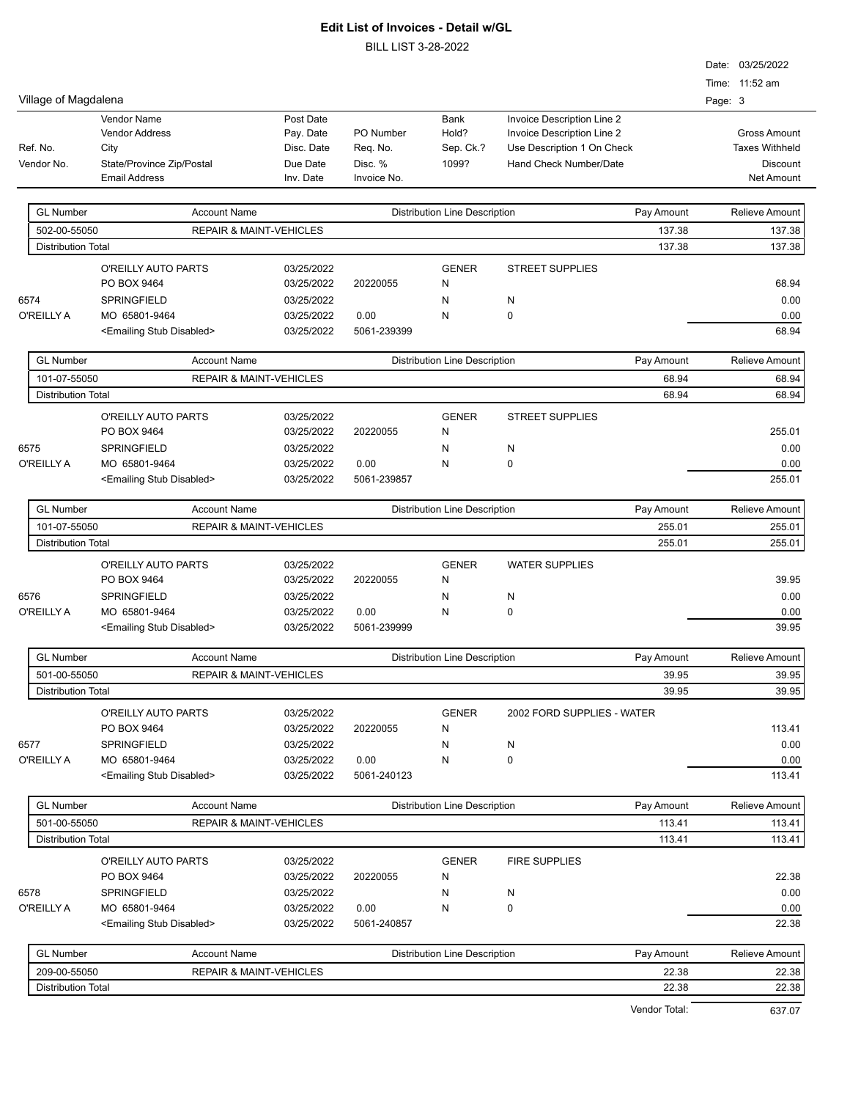BILL LIST 3-28-2022

|                           |                                                   |                                    |                        | LIUT U-ZU-ZUZZ                       |                            |         |                               |
|---------------------------|---------------------------------------------------|------------------------------------|------------------------|--------------------------------------|----------------------------|---------|-------------------------------|
|                           |                                                   |                                    |                        |                                      |                            |         | Date: 03/25/2022              |
|                           |                                                   |                                    |                        |                                      |                            |         | Time: 11:52 am                |
| Village of Magdalena      |                                                   |                                    |                        |                                      |                            | Page: 3 |                               |
|                           | <b>Vendor Name</b>                                | Post Date                          |                        | Bank                                 | Invoice Description Line 2 |         |                               |
|                           | <b>Vendor Address</b>                             | Pay. Date                          | PO Number              | Hold?                                | Invoice Description Line 2 |         | <b>Gross Amount</b>           |
| Ref. No.                  | City                                              | Disc. Date                         | Req. No.               | Sep. Ck.?                            | Use Description 1 On Check |         | <b>Taxes Withheld</b>         |
| Vendor No.                | State/Province Zip/Postal<br><b>Email Address</b> | Due Date<br>Inv. Date              | Disc. %<br>Invoice No. | 1099?                                | Hand Check Number/Date     |         | <b>Discount</b><br>Net Amount |
|                           |                                                   |                                    |                        |                                      |                            |         |                               |
| <b>GL Number</b>          | <b>Account Name</b>                               |                                    |                        | <b>Distribution Line Description</b> | Pay Amount                 |         | Relieve Amount                |
| 502-00-55050              |                                                   | <b>REPAIR &amp; MAINT-VEHICLES</b> |                        |                                      | 137.38                     |         | 137.38                        |
| <b>Distribution Total</b> |                                                   |                                    |                        |                                      | 137.38                     |         | 137.38                        |
|                           | O'REILLY AUTO PARTS                               | 03/25/2022                         |                        | <b>GENER</b>                         | <b>STREET SUPPLIES</b>     |         |                               |
|                           | PO BOX 9464                                       | 03/25/2022                         | 20220055               | N                                    |                            |         | 68.94                         |
| 6574                      | SPRINGFIELD                                       | 03/25/2022                         |                        | N                                    | N                          |         | 0.00                          |
| O'REILLY A                | MO 65801-9464                                     | 03/25/2022                         | 0.00                   | N                                    | $\mathbf 0$                |         | 0.00                          |
|                           | <emailing disabled="" stub=""></emailing>         | 03/25/2022                         | 5061-239399            |                                      |                            |         | 68.94                         |
| <b>GL Number</b>          | <b>Account Name</b>                               |                                    |                        | <b>Distribution Line Description</b> | Pay Amount                 |         | Relieve Amount                |
| 101-07-55050              |                                                   | <b>REPAIR &amp; MAINT-VEHICLES</b> |                        |                                      |                            | 68.94   | 68.94                         |
| <b>Distribution Total</b> |                                                   |                                    |                        |                                      |                            | 68.94   | 68.94                         |
|                           | O'REILLY AUTO PARTS                               | 03/25/2022                         |                        | <b>GENER</b>                         | <b>STREET SUPPLIES</b>     |         |                               |
|                           | PO BOX 9464                                       | 03/25/2022                         | 20220055               | N                                    |                            |         | 255.01                        |
| 6575                      | SPRINGFIELD                                       | 03/25/2022                         |                        | N                                    | N                          |         | 0.00                          |
| O'REILLY A                | MO 65801-9464                                     | 03/25/2022                         | 0.00                   | N                                    | $\mathbf 0$                |         | 0.00                          |
|                           | <emailing disabled="" stub=""></emailing>         | 03/25/2022                         | 5061-239857            |                                      |                            |         | 255.01                        |
|                           |                                                   |                                    |                        |                                      |                            |         |                               |
| <b>GL Number</b>          | <b>Account Name</b>                               |                                    |                        | <b>Distribution Line Description</b> | Pay Amount                 |         | Relieve Amount                |
| 101-07-55050              |                                                   | REPAIR & MAINT-VEHICLES            |                        |                                      | 255.01                     |         | 255.01                        |
| <b>Distribution Total</b> |                                                   |                                    |                        |                                      | 255.01                     |         | 255.01                        |
|                           | O'REILLY AUTO PARTS                               | 03/25/2022                         |                        | <b>GENER</b>                         | <b>WATER SUPPLIES</b>      |         |                               |
|                           | PO BOX 9464                                       | 03/25/2022                         | 20220055               | N                                    |                            |         | 39.95                         |
| 6576                      | SPRINGFIELD                                       | 03/25/2022                         |                        | N                                    | N                          |         | 0.00                          |
| O'REILLY A                | MO 65801-9464                                     | 03/25/2022                         | 0.00                   | N                                    | $\mathbf 0$                |         | 0.00                          |
|                           | <emailing disabled="" stub=""></emailing>         | 03/25/2022                         | 5061-239999            |                                      |                            |         | 39.95                         |
| <b>GL Number</b>          | <b>Account Name</b>                               |                                    |                        | <b>Distribution Line Description</b> | Pay Amount                 |         | <b>Relieve Amount</b>         |
| 501-00-55050              |                                                   | <b>REPAIR &amp; MAINT-VEHICLES</b> |                        |                                      |                            | 39.95   | 39.95                         |
| <b>Distribution Total</b> |                                                   |                                    |                        |                                      |                            | 39.95   | 39.95                         |
|                           | O'REILLY AUTO PARTS                               | 03/25/2022                         |                        | <b>GENER</b>                         | 2002 FORD SUPPLIES - WATER |         |                               |
|                           | PO BOX 9464                                       | 03/25/2022                         | 20220055               | N                                    |                            |         | 113.41                        |
| 6577                      | SPRINGFIELD                                       | 03/25/2022                         |                        | N                                    | N                          |         | 0.00                          |
| O'REILLY A                | MO 65801-9464                                     | 03/25/2022                         | 0.00                   | N                                    | 0                          |         | 0.00                          |
|                           | <emailing disabled="" stub=""></emailing>         | 03/25/2022                         | 5061-240123            |                                      |                            |         | 113.41                        |
|                           |                                                   |                                    |                        |                                      |                            |         |                               |
| <b>GL Number</b>          | <b>Account Name</b>                               |                                    |                        | <b>Distribution Line Description</b> | Pay Amount                 |         | <b>Relieve Amount</b>         |
| 501-00-55050              |                                                   | <b>REPAIR &amp; MAINT-VEHICLES</b> |                        |                                      | 113.41                     |         | 113.41                        |
| <b>Distribution Total</b> |                                                   |                                    |                        |                                      |                            | 113.41  | 113.41                        |
|                           | O'REILLY AUTO PARTS                               | 03/25/2022                         |                        | <b>GENER</b>                         | FIRE SUPPLIES              |         |                               |
|                           | PO BOX 9464                                       | 03/25/2022                         | 20220055               | N                                    |                            |         | 22.38                         |
| 6578                      | SPRINGFIELD                                       | 03/25/2022                         |                        | N                                    | N                          |         | 0.00                          |
| O'REILLY A                | MO 65801-9464                                     | 03/25/2022                         | 0.00                   | N                                    | 0                          |         | 0.00                          |
|                           | <emailing disabled="" stub=""></emailing>         | 03/25/2022                         | 5061-240857            |                                      |                            |         | 22.38                         |
| <b>GL Number</b>          | <b>Account Name</b>                               |                                    |                        | <b>Distribution Line Description</b> | Pay Amount                 |         | Relieve Amount                |
| 209-00-55050              |                                                   |                                    |                        |                                      |                            | 22.38   | 22.38                         |
|                           |                                                   | <b>REPAIR &amp; MAINT-VEHICLES</b> |                        |                                      |                            |         |                               |

Distribution Total 22.38 22.38

Vendor Total: 637.07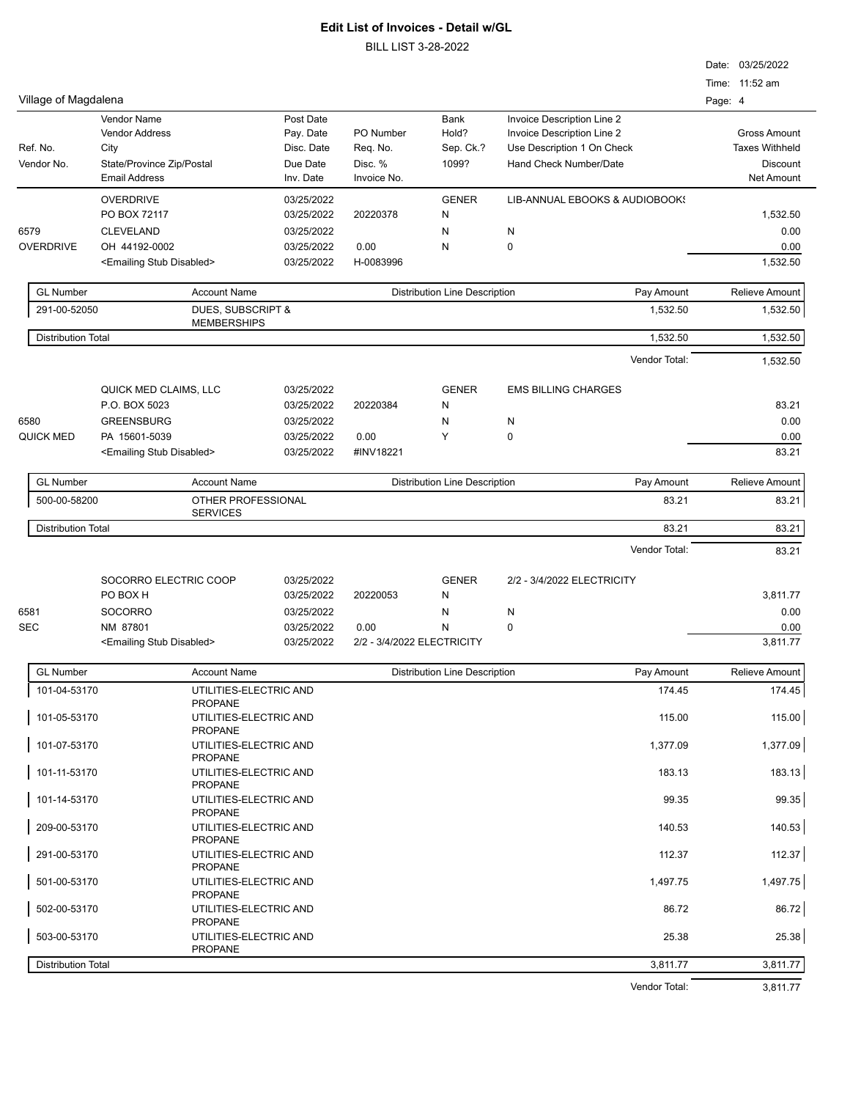BILL LIST 3-28-2022

| Time: 11:52 am<br>Village of Magdalena<br>Page: 4<br>Vendor Name<br>Post Date<br>Bank<br>Invoice Description Line 2<br>Hold?<br>Invoice Description Line 2<br><b>Gross Amount</b><br><b>Vendor Address</b><br>Pay. Date<br>PO Number<br>Ref. No.<br>Sep. Ck.?<br>Use Description 1 On Check<br><b>Taxes Withheld</b><br>City<br>Disc. Date<br>Req. No.<br>Vendor No.<br>State/Province Zip/Postal<br>Due Date<br>Disc. %<br>1099?<br>Hand Check Number/Date<br><b>Discount</b><br><b>Email Address</b><br>Invoice No.<br>Inv. Date<br><b>Net Amount</b><br><b>OVERDRIVE</b><br>03/25/2022<br><b>GENER</b><br>LIB-ANNUAL EBOOKS & AUDIOBOOKS<br>PO BOX 72117<br>03/25/2022<br>20220378<br>1,532.50<br>N<br>6579<br><b>CLEVELAND</b><br>03/25/2022<br>N<br>0.00<br>N<br><b>OVERDRIVE</b><br>OH 44192-0002<br>03/25/2022<br>0.00<br>Ν<br>0<br>0.00<br>1,532.50<br>H-0083996<br><emailing disabled="" stub=""><br/>03/25/2022<br/><b>GL Number</b><br/><b>Account Name</b><br/><b>Distribution Line Description</b><br/>Pay Amount<br/><b>Relieve Amount</b><br/>291-00-52050<br/>DUES, SUBSCRIPT &amp;<br/>1,532.50<br/>1,532.50<br/><b>MEMBERSHIPS</b><br/><b>Distribution Total</b><br/>1,532.50<br/>1,532.50<br/>Vendor Total:<br/>1,532.50<br/><b>GENER</b><br/>QUICK MED CLAIMS, LLC<br/>03/25/2022<br/><b>EMS BILLING CHARGES</b><br/>83.21<br/>P.O. BOX 5023<br/>03/25/2022<br/>20220384<br/>N<br/><b>GREENSBURG</b><br/>0.00<br/>6580<br/>03/25/2022<br/>N<br/>N<br/><b>QUICK MED</b><br/>PA 15601-5039<br/>0.00<br/>Υ<br/>0<br/>03/25/2022<br/>0.00<br/>83.21<br/><emailing disabled="" stub=""><br/>03/25/2022<br/>#INV18221<br/><b>GL Number</b><br/><b>Account Name</b><br/><b>Distribution Line Description</b><br/>Pay Amount<br/><b>Relieve Amount</b><br/>500-00-58200<br/>OTHER PROFESSIONAL<br/>83.21<br/>83.21<br/><b>SERVICES</b><br/><b>Distribution Total</b><br/>83.21<br/>83.21<br/>Vendor Total:<br/>83.21<br/>SOCORRO ELECTRIC COOP<br/><b>GENER</b><br/>03/25/2022<br/>2/2 - 3/4/2022 ELECTRICITY<br/>PO BOX H<br/>03/25/2022<br/>20220053<br/>3,811.77<br/>N<br/>6581<br/><b>SOCORRO</b><br/>03/25/2022<br/>0.00<br/>N<br/>N<br/>0<br/><b>SEC</b><br/>NM 87801<br/>03/25/2022<br/>0.00<br/>N<br/>0.00<br/><emailing disabled="" stub=""><br/>03/25/2022<br/>2/2 - 3/4/2022 ELECTRICITY<br/>3,811.77<br/><b>GL Number</b><br/><b>Account Name</b><br/><b>Distribution Line Description</b><br/>Pay Amount<br/>Relieve Amount<br/>101-04-53170<br/>174.45<br/>UTILITIES-ELECTRIC AND<br/>174.45<br/><b>PROPANE</b><br/>101-05-53170<br/>UTILITIES-ELECTRIC AND<br/>115.00<br/><b>PROPANE</b><br/>101-07-53170<br/>UTILITIES-ELECTRIC AND<br/>1,377.09<br/><b>PROPANE</b><br/>101-11-53170<br/>UTILITIES-ELECTRIC AND<br/>183.13<br/><b>PROPANE</b><br/>101-14-53170<br/>UTILITIES-ELECTRIC AND<br/>99.35<br/><b>PROPANE</b><br/>209-00-53170<br/>UTILITIES-ELECTRIC AND<br/>140.53<br/><b>PROPANE</b><br/>291-00-53170<br/>112.37<br/>UTILITIES-ELECTRIC AND<br/><b>PROPANE</b><br/>501-00-53170<br/>UTILITIES-ELECTRIC AND<br/>1,497.75<br/><b>PROPANE</b><br/>502-00-53170<br/>UTILITIES-ELECTRIC AND<br/>86.72<br/><b>PROPANE</b><br/>503-00-53170<br/>UTILITIES-ELECTRIC AND<br/>25.38<br/><b>PROPANE</b><br/><b>Distribution Total</b><br/>3,811.77<br/>3,811.77<br/>Vendor Total:<br/>3,811.77</emailing></emailing></emailing> |  |  |  | Date: 03/25/2022 |
|--------------------------------------------------------------------------------------------------------------------------------------------------------------------------------------------------------------------------------------------------------------------------------------------------------------------------------------------------------------------------------------------------------------------------------------------------------------------------------------------------------------------------------------------------------------------------------------------------------------------------------------------------------------------------------------------------------------------------------------------------------------------------------------------------------------------------------------------------------------------------------------------------------------------------------------------------------------------------------------------------------------------------------------------------------------------------------------------------------------------------------------------------------------------------------------------------------------------------------------------------------------------------------------------------------------------------------------------------------------------------------------------------------------------------------------------------------------------------------------------------------------------------------------------------------------------------------------------------------------------------------------------------------------------------------------------------------------------------------------------------------------------------------------------------------------------------------------------------------------------------------------------------------------------------------------------------------------------------------------------------------------------------------------------------------------------------------------------------------------------------------------------------------------------------------------------------------------------------------------------------------------------------------------------------------------------------------------------------------------------------------------------------------------------------------------------------------------------------------------------------------------------------------------------------------------------------------------------------------------------------------------------------------------------------------------------------------------------------------------------------------------------------------------------------------------------------------------------------------------------------------------------------------------------------------------------------------------------------------------------------------------------------------------------------------------------------------------------------------------------------------------------------------------------------------------------------------------------------------------------------------------------------------------------------------------------------------------------------------------|--|--|--|------------------|
|                                                                                                                                                                                                                                                                                                                                                                                                                                                                                                                                                                                                                                                                                                                                                                                                                                                                                                                                                                                                                                                                                                                                                                                                                                                                                                                                                                                                                                                                                                                                                                                                                                                                                                                                                                                                                                                                                                                                                                                                                                                                                                                                                                                                                                                                                                                                                                                                                                                                                                                                                                                                                                                                                                                                                                                                                                                                                                                                                                                                                                                                                                                                                                                                                                                                                                                                                              |  |  |  |                  |
|                                                                                                                                                                                                                                                                                                                                                                                                                                                                                                                                                                                                                                                                                                                                                                                                                                                                                                                                                                                                                                                                                                                                                                                                                                                                                                                                                                                                                                                                                                                                                                                                                                                                                                                                                                                                                                                                                                                                                                                                                                                                                                                                                                                                                                                                                                                                                                                                                                                                                                                                                                                                                                                                                                                                                                                                                                                                                                                                                                                                                                                                                                                                                                                                                                                                                                                                                              |  |  |  |                  |
|                                                                                                                                                                                                                                                                                                                                                                                                                                                                                                                                                                                                                                                                                                                                                                                                                                                                                                                                                                                                                                                                                                                                                                                                                                                                                                                                                                                                                                                                                                                                                                                                                                                                                                                                                                                                                                                                                                                                                                                                                                                                                                                                                                                                                                                                                                                                                                                                                                                                                                                                                                                                                                                                                                                                                                                                                                                                                                                                                                                                                                                                                                                                                                                                                                                                                                                                                              |  |  |  |                  |
|                                                                                                                                                                                                                                                                                                                                                                                                                                                                                                                                                                                                                                                                                                                                                                                                                                                                                                                                                                                                                                                                                                                                                                                                                                                                                                                                                                                                                                                                                                                                                                                                                                                                                                                                                                                                                                                                                                                                                                                                                                                                                                                                                                                                                                                                                                                                                                                                                                                                                                                                                                                                                                                                                                                                                                                                                                                                                                                                                                                                                                                                                                                                                                                                                                                                                                                                                              |  |  |  |                  |
|                                                                                                                                                                                                                                                                                                                                                                                                                                                                                                                                                                                                                                                                                                                                                                                                                                                                                                                                                                                                                                                                                                                                                                                                                                                                                                                                                                                                                                                                                                                                                                                                                                                                                                                                                                                                                                                                                                                                                                                                                                                                                                                                                                                                                                                                                                                                                                                                                                                                                                                                                                                                                                                                                                                                                                                                                                                                                                                                                                                                                                                                                                                                                                                                                                                                                                                                                              |  |  |  |                  |
|                                                                                                                                                                                                                                                                                                                                                                                                                                                                                                                                                                                                                                                                                                                                                                                                                                                                                                                                                                                                                                                                                                                                                                                                                                                                                                                                                                                                                                                                                                                                                                                                                                                                                                                                                                                                                                                                                                                                                                                                                                                                                                                                                                                                                                                                                                                                                                                                                                                                                                                                                                                                                                                                                                                                                                                                                                                                                                                                                                                                                                                                                                                                                                                                                                                                                                                                                              |  |  |  |                  |
|                                                                                                                                                                                                                                                                                                                                                                                                                                                                                                                                                                                                                                                                                                                                                                                                                                                                                                                                                                                                                                                                                                                                                                                                                                                                                                                                                                                                                                                                                                                                                                                                                                                                                                                                                                                                                                                                                                                                                                                                                                                                                                                                                                                                                                                                                                                                                                                                                                                                                                                                                                                                                                                                                                                                                                                                                                                                                                                                                                                                                                                                                                                                                                                                                                                                                                                                                              |  |  |  |                  |
|                                                                                                                                                                                                                                                                                                                                                                                                                                                                                                                                                                                                                                                                                                                                                                                                                                                                                                                                                                                                                                                                                                                                                                                                                                                                                                                                                                                                                                                                                                                                                                                                                                                                                                                                                                                                                                                                                                                                                                                                                                                                                                                                                                                                                                                                                                                                                                                                                                                                                                                                                                                                                                                                                                                                                                                                                                                                                                                                                                                                                                                                                                                                                                                                                                                                                                                                                              |  |  |  |                  |
|                                                                                                                                                                                                                                                                                                                                                                                                                                                                                                                                                                                                                                                                                                                                                                                                                                                                                                                                                                                                                                                                                                                                                                                                                                                                                                                                                                                                                                                                                                                                                                                                                                                                                                                                                                                                                                                                                                                                                                                                                                                                                                                                                                                                                                                                                                                                                                                                                                                                                                                                                                                                                                                                                                                                                                                                                                                                                                                                                                                                                                                                                                                                                                                                                                                                                                                                                              |  |  |  |                  |
|                                                                                                                                                                                                                                                                                                                                                                                                                                                                                                                                                                                                                                                                                                                                                                                                                                                                                                                                                                                                                                                                                                                                                                                                                                                                                                                                                                                                                                                                                                                                                                                                                                                                                                                                                                                                                                                                                                                                                                                                                                                                                                                                                                                                                                                                                                                                                                                                                                                                                                                                                                                                                                                                                                                                                                                                                                                                                                                                                                                                                                                                                                                                                                                                                                                                                                                                                              |  |  |  |                  |
|                                                                                                                                                                                                                                                                                                                                                                                                                                                                                                                                                                                                                                                                                                                                                                                                                                                                                                                                                                                                                                                                                                                                                                                                                                                                                                                                                                                                                                                                                                                                                                                                                                                                                                                                                                                                                                                                                                                                                                                                                                                                                                                                                                                                                                                                                                                                                                                                                                                                                                                                                                                                                                                                                                                                                                                                                                                                                                                                                                                                                                                                                                                                                                                                                                                                                                                                                              |  |  |  |                  |
|                                                                                                                                                                                                                                                                                                                                                                                                                                                                                                                                                                                                                                                                                                                                                                                                                                                                                                                                                                                                                                                                                                                                                                                                                                                                                                                                                                                                                                                                                                                                                                                                                                                                                                                                                                                                                                                                                                                                                                                                                                                                                                                                                                                                                                                                                                                                                                                                                                                                                                                                                                                                                                                                                                                                                                                                                                                                                                                                                                                                                                                                                                                                                                                                                                                                                                                                                              |  |  |  |                  |
|                                                                                                                                                                                                                                                                                                                                                                                                                                                                                                                                                                                                                                                                                                                                                                                                                                                                                                                                                                                                                                                                                                                                                                                                                                                                                                                                                                                                                                                                                                                                                                                                                                                                                                                                                                                                                                                                                                                                                                                                                                                                                                                                                                                                                                                                                                                                                                                                                                                                                                                                                                                                                                                                                                                                                                                                                                                                                                                                                                                                                                                                                                                                                                                                                                                                                                                                                              |  |  |  |                  |
|                                                                                                                                                                                                                                                                                                                                                                                                                                                                                                                                                                                                                                                                                                                                                                                                                                                                                                                                                                                                                                                                                                                                                                                                                                                                                                                                                                                                                                                                                                                                                                                                                                                                                                                                                                                                                                                                                                                                                                                                                                                                                                                                                                                                                                                                                                                                                                                                                                                                                                                                                                                                                                                                                                                                                                                                                                                                                                                                                                                                                                                                                                                                                                                                                                                                                                                                                              |  |  |  |                  |
|                                                                                                                                                                                                                                                                                                                                                                                                                                                                                                                                                                                                                                                                                                                                                                                                                                                                                                                                                                                                                                                                                                                                                                                                                                                                                                                                                                                                                                                                                                                                                                                                                                                                                                                                                                                                                                                                                                                                                                                                                                                                                                                                                                                                                                                                                                                                                                                                                                                                                                                                                                                                                                                                                                                                                                                                                                                                                                                                                                                                                                                                                                                                                                                                                                                                                                                                                              |  |  |  |                  |
|                                                                                                                                                                                                                                                                                                                                                                                                                                                                                                                                                                                                                                                                                                                                                                                                                                                                                                                                                                                                                                                                                                                                                                                                                                                                                                                                                                                                                                                                                                                                                                                                                                                                                                                                                                                                                                                                                                                                                                                                                                                                                                                                                                                                                                                                                                                                                                                                                                                                                                                                                                                                                                                                                                                                                                                                                                                                                                                                                                                                                                                                                                                                                                                                                                                                                                                                                              |  |  |  |                  |
|                                                                                                                                                                                                                                                                                                                                                                                                                                                                                                                                                                                                                                                                                                                                                                                                                                                                                                                                                                                                                                                                                                                                                                                                                                                                                                                                                                                                                                                                                                                                                                                                                                                                                                                                                                                                                                                                                                                                                                                                                                                                                                                                                                                                                                                                                                                                                                                                                                                                                                                                                                                                                                                                                                                                                                                                                                                                                                                                                                                                                                                                                                                                                                                                                                                                                                                                                              |  |  |  |                  |
|                                                                                                                                                                                                                                                                                                                                                                                                                                                                                                                                                                                                                                                                                                                                                                                                                                                                                                                                                                                                                                                                                                                                                                                                                                                                                                                                                                                                                                                                                                                                                                                                                                                                                                                                                                                                                                                                                                                                                                                                                                                                                                                                                                                                                                                                                                                                                                                                                                                                                                                                                                                                                                                                                                                                                                                                                                                                                                                                                                                                                                                                                                                                                                                                                                                                                                                                                              |  |  |  |                  |
|                                                                                                                                                                                                                                                                                                                                                                                                                                                                                                                                                                                                                                                                                                                                                                                                                                                                                                                                                                                                                                                                                                                                                                                                                                                                                                                                                                                                                                                                                                                                                                                                                                                                                                                                                                                                                                                                                                                                                                                                                                                                                                                                                                                                                                                                                                                                                                                                                                                                                                                                                                                                                                                                                                                                                                                                                                                                                                                                                                                                                                                                                                                                                                                                                                                                                                                                                              |  |  |  |                  |
|                                                                                                                                                                                                                                                                                                                                                                                                                                                                                                                                                                                                                                                                                                                                                                                                                                                                                                                                                                                                                                                                                                                                                                                                                                                                                                                                                                                                                                                                                                                                                                                                                                                                                                                                                                                                                                                                                                                                                                                                                                                                                                                                                                                                                                                                                                                                                                                                                                                                                                                                                                                                                                                                                                                                                                                                                                                                                                                                                                                                                                                                                                                                                                                                                                                                                                                                                              |  |  |  |                  |
|                                                                                                                                                                                                                                                                                                                                                                                                                                                                                                                                                                                                                                                                                                                                                                                                                                                                                                                                                                                                                                                                                                                                                                                                                                                                                                                                                                                                                                                                                                                                                                                                                                                                                                                                                                                                                                                                                                                                                                                                                                                                                                                                                                                                                                                                                                                                                                                                                                                                                                                                                                                                                                                                                                                                                                                                                                                                                                                                                                                                                                                                                                                                                                                                                                                                                                                                                              |  |  |  |                  |
|                                                                                                                                                                                                                                                                                                                                                                                                                                                                                                                                                                                                                                                                                                                                                                                                                                                                                                                                                                                                                                                                                                                                                                                                                                                                                                                                                                                                                                                                                                                                                                                                                                                                                                                                                                                                                                                                                                                                                                                                                                                                                                                                                                                                                                                                                                                                                                                                                                                                                                                                                                                                                                                                                                                                                                                                                                                                                                                                                                                                                                                                                                                                                                                                                                                                                                                                                              |  |  |  |                  |
|                                                                                                                                                                                                                                                                                                                                                                                                                                                                                                                                                                                                                                                                                                                                                                                                                                                                                                                                                                                                                                                                                                                                                                                                                                                                                                                                                                                                                                                                                                                                                                                                                                                                                                                                                                                                                                                                                                                                                                                                                                                                                                                                                                                                                                                                                                                                                                                                                                                                                                                                                                                                                                                                                                                                                                                                                                                                                                                                                                                                                                                                                                                                                                                                                                                                                                                                                              |  |  |  |                  |
|                                                                                                                                                                                                                                                                                                                                                                                                                                                                                                                                                                                                                                                                                                                                                                                                                                                                                                                                                                                                                                                                                                                                                                                                                                                                                                                                                                                                                                                                                                                                                                                                                                                                                                                                                                                                                                                                                                                                                                                                                                                                                                                                                                                                                                                                                                                                                                                                                                                                                                                                                                                                                                                                                                                                                                                                                                                                                                                                                                                                                                                                                                                                                                                                                                                                                                                                                              |  |  |  |                  |
|                                                                                                                                                                                                                                                                                                                                                                                                                                                                                                                                                                                                                                                                                                                                                                                                                                                                                                                                                                                                                                                                                                                                                                                                                                                                                                                                                                                                                                                                                                                                                                                                                                                                                                                                                                                                                                                                                                                                                                                                                                                                                                                                                                                                                                                                                                                                                                                                                                                                                                                                                                                                                                                                                                                                                                                                                                                                                                                                                                                                                                                                                                                                                                                                                                                                                                                                                              |  |  |  |                  |
|                                                                                                                                                                                                                                                                                                                                                                                                                                                                                                                                                                                                                                                                                                                                                                                                                                                                                                                                                                                                                                                                                                                                                                                                                                                                                                                                                                                                                                                                                                                                                                                                                                                                                                                                                                                                                                                                                                                                                                                                                                                                                                                                                                                                                                                                                                                                                                                                                                                                                                                                                                                                                                                                                                                                                                                                                                                                                                                                                                                                                                                                                                                                                                                                                                                                                                                                                              |  |  |  |                  |
|                                                                                                                                                                                                                                                                                                                                                                                                                                                                                                                                                                                                                                                                                                                                                                                                                                                                                                                                                                                                                                                                                                                                                                                                                                                                                                                                                                                                                                                                                                                                                                                                                                                                                                                                                                                                                                                                                                                                                                                                                                                                                                                                                                                                                                                                                                                                                                                                                                                                                                                                                                                                                                                                                                                                                                                                                                                                                                                                                                                                                                                                                                                                                                                                                                                                                                                                                              |  |  |  |                  |
|                                                                                                                                                                                                                                                                                                                                                                                                                                                                                                                                                                                                                                                                                                                                                                                                                                                                                                                                                                                                                                                                                                                                                                                                                                                                                                                                                                                                                                                                                                                                                                                                                                                                                                                                                                                                                                                                                                                                                                                                                                                                                                                                                                                                                                                                                                                                                                                                                                                                                                                                                                                                                                                                                                                                                                                                                                                                                                                                                                                                                                                                                                                                                                                                                                                                                                                                                              |  |  |  |                  |
|                                                                                                                                                                                                                                                                                                                                                                                                                                                                                                                                                                                                                                                                                                                                                                                                                                                                                                                                                                                                                                                                                                                                                                                                                                                                                                                                                                                                                                                                                                                                                                                                                                                                                                                                                                                                                                                                                                                                                                                                                                                                                                                                                                                                                                                                                                                                                                                                                                                                                                                                                                                                                                                                                                                                                                                                                                                                                                                                                                                                                                                                                                                                                                                                                                                                                                                                                              |  |  |  |                  |
|                                                                                                                                                                                                                                                                                                                                                                                                                                                                                                                                                                                                                                                                                                                                                                                                                                                                                                                                                                                                                                                                                                                                                                                                                                                                                                                                                                                                                                                                                                                                                                                                                                                                                                                                                                                                                                                                                                                                                                                                                                                                                                                                                                                                                                                                                                                                                                                                                                                                                                                                                                                                                                                                                                                                                                                                                                                                                                                                                                                                                                                                                                                                                                                                                                                                                                                                                              |  |  |  |                  |
|                                                                                                                                                                                                                                                                                                                                                                                                                                                                                                                                                                                                                                                                                                                                                                                                                                                                                                                                                                                                                                                                                                                                                                                                                                                                                                                                                                                                                                                                                                                                                                                                                                                                                                                                                                                                                                                                                                                                                                                                                                                                                                                                                                                                                                                                                                                                                                                                                                                                                                                                                                                                                                                                                                                                                                                                                                                                                                                                                                                                                                                                                                                                                                                                                                                                                                                                                              |  |  |  |                  |
|                                                                                                                                                                                                                                                                                                                                                                                                                                                                                                                                                                                                                                                                                                                                                                                                                                                                                                                                                                                                                                                                                                                                                                                                                                                                                                                                                                                                                                                                                                                                                                                                                                                                                                                                                                                                                                                                                                                                                                                                                                                                                                                                                                                                                                                                                                                                                                                                                                                                                                                                                                                                                                                                                                                                                                                                                                                                                                                                                                                                                                                                                                                                                                                                                                                                                                                                                              |  |  |  |                  |
|                                                                                                                                                                                                                                                                                                                                                                                                                                                                                                                                                                                                                                                                                                                                                                                                                                                                                                                                                                                                                                                                                                                                                                                                                                                                                                                                                                                                                                                                                                                                                                                                                                                                                                                                                                                                                                                                                                                                                                                                                                                                                                                                                                                                                                                                                                                                                                                                                                                                                                                                                                                                                                                                                                                                                                                                                                                                                                                                                                                                                                                                                                                                                                                                                                                                                                                                                              |  |  |  |                  |
|                                                                                                                                                                                                                                                                                                                                                                                                                                                                                                                                                                                                                                                                                                                                                                                                                                                                                                                                                                                                                                                                                                                                                                                                                                                                                                                                                                                                                                                                                                                                                                                                                                                                                                                                                                                                                                                                                                                                                                                                                                                                                                                                                                                                                                                                                                                                                                                                                                                                                                                                                                                                                                                                                                                                                                                                                                                                                                                                                                                                                                                                                                                                                                                                                                                                                                                                                              |  |  |  |                  |
|                                                                                                                                                                                                                                                                                                                                                                                                                                                                                                                                                                                                                                                                                                                                                                                                                                                                                                                                                                                                                                                                                                                                                                                                                                                                                                                                                                                                                                                                                                                                                                                                                                                                                                                                                                                                                                                                                                                                                                                                                                                                                                                                                                                                                                                                                                                                                                                                                                                                                                                                                                                                                                                                                                                                                                                                                                                                                                                                                                                                                                                                                                                                                                                                                                                                                                                                                              |  |  |  | 115.00           |
|                                                                                                                                                                                                                                                                                                                                                                                                                                                                                                                                                                                                                                                                                                                                                                                                                                                                                                                                                                                                                                                                                                                                                                                                                                                                                                                                                                                                                                                                                                                                                                                                                                                                                                                                                                                                                                                                                                                                                                                                                                                                                                                                                                                                                                                                                                                                                                                                                                                                                                                                                                                                                                                                                                                                                                                                                                                                                                                                                                                                                                                                                                                                                                                                                                                                                                                                                              |  |  |  | 1,377.09         |
|                                                                                                                                                                                                                                                                                                                                                                                                                                                                                                                                                                                                                                                                                                                                                                                                                                                                                                                                                                                                                                                                                                                                                                                                                                                                                                                                                                                                                                                                                                                                                                                                                                                                                                                                                                                                                                                                                                                                                                                                                                                                                                                                                                                                                                                                                                                                                                                                                                                                                                                                                                                                                                                                                                                                                                                                                                                                                                                                                                                                                                                                                                                                                                                                                                                                                                                                                              |  |  |  | 183.13           |
|                                                                                                                                                                                                                                                                                                                                                                                                                                                                                                                                                                                                                                                                                                                                                                                                                                                                                                                                                                                                                                                                                                                                                                                                                                                                                                                                                                                                                                                                                                                                                                                                                                                                                                                                                                                                                                                                                                                                                                                                                                                                                                                                                                                                                                                                                                                                                                                                                                                                                                                                                                                                                                                                                                                                                                                                                                                                                                                                                                                                                                                                                                                                                                                                                                                                                                                                                              |  |  |  | 99.35            |
|                                                                                                                                                                                                                                                                                                                                                                                                                                                                                                                                                                                                                                                                                                                                                                                                                                                                                                                                                                                                                                                                                                                                                                                                                                                                                                                                                                                                                                                                                                                                                                                                                                                                                                                                                                                                                                                                                                                                                                                                                                                                                                                                                                                                                                                                                                                                                                                                                                                                                                                                                                                                                                                                                                                                                                                                                                                                                                                                                                                                                                                                                                                                                                                                                                                                                                                                                              |  |  |  | 140.53           |
|                                                                                                                                                                                                                                                                                                                                                                                                                                                                                                                                                                                                                                                                                                                                                                                                                                                                                                                                                                                                                                                                                                                                                                                                                                                                                                                                                                                                                                                                                                                                                                                                                                                                                                                                                                                                                                                                                                                                                                                                                                                                                                                                                                                                                                                                                                                                                                                                                                                                                                                                                                                                                                                                                                                                                                                                                                                                                                                                                                                                                                                                                                                                                                                                                                                                                                                                                              |  |  |  | 112.37           |
|                                                                                                                                                                                                                                                                                                                                                                                                                                                                                                                                                                                                                                                                                                                                                                                                                                                                                                                                                                                                                                                                                                                                                                                                                                                                                                                                                                                                                                                                                                                                                                                                                                                                                                                                                                                                                                                                                                                                                                                                                                                                                                                                                                                                                                                                                                                                                                                                                                                                                                                                                                                                                                                                                                                                                                                                                                                                                                                                                                                                                                                                                                                                                                                                                                                                                                                                                              |  |  |  | 1,497.75         |
|                                                                                                                                                                                                                                                                                                                                                                                                                                                                                                                                                                                                                                                                                                                                                                                                                                                                                                                                                                                                                                                                                                                                                                                                                                                                                                                                                                                                                                                                                                                                                                                                                                                                                                                                                                                                                                                                                                                                                                                                                                                                                                                                                                                                                                                                                                                                                                                                                                                                                                                                                                                                                                                                                                                                                                                                                                                                                                                                                                                                                                                                                                                                                                                                                                                                                                                                                              |  |  |  | 86.72            |
|                                                                                                                                                                                                                                                                                                                                                                                                                                                                                                                                                                                                                                                                                                                                                                                                                                                                                                                                                                                                                                                                                                                                                                                                                                                                                                                                                                                                                                                                                                                                                                                                                                                                                                                                                                                                                                                                                                                                                                                                                                                                                                                                                                                                                                                                                                                                                                                                                                                                                                                                                                                                                                                                                                                                                                                                                                                                                                                                                                                                                                                                                                                                                                                                                                                                                                                                                              |  |  |  | 25.38            |
|                                                                                                                                                                                                                                                                                                                                                                                                                                                                                                                                                                                                                                                                                                                                                                                                                                                                                                                                                                                                                                                                                                                                                                                                                                                                                                                                                                                                                                                                                                                                                                                                                                                                                                                                                                                                                                                                                                                                                                                                                                                                                                                                                                                                                                                                                                                                                                                                                                                                                                                                                                                                                                                                                                                                                                                                                                                                                                                                                                                                                                                                                                                                                                                                                                                                                                                                                              |  |  |  |                  |
|                                                                                                                                                                                                                                                                                                                                                                                                                                                                                                                                                                                                                                                                                                                                                                                                                                                                                                                                                                                                                                                                                                                                                                                                                                                                                                                                                                                                                                                                                                                                                                                                                                                                                                                                                                                                                                                                                                                                                                                                                                                                                                                                                                                                                                                                                                                                                                                                                                                                                                                                                                                                                                                                                                                                                                                                                                                                                                                                                                                                                                                                                                                                                                                                                                                                                                                                                              |  |  |  |                  |